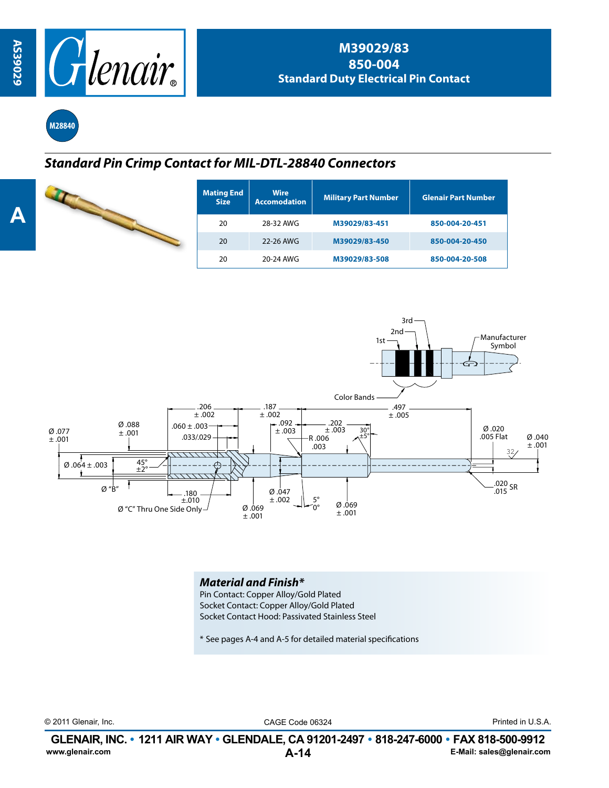

**M28840**

## *Standard Pin Crimp Contact for MIL-DTL-28840 Connectors*

|  | <b>Mating End</b><br><b>Size</b> | <b>Wire</b><br><b>Accomodation</b> | <b>Military Part Number</b> | <b>Glenair Part Number</b> |  |
|--|----------------------------------|------------------------------------|-----------------------------|----------------------------|--|
|  | 20                               | 28-32 AWG                          | M39029/83-451               | 850-004-20-451             |  |
|  | 20                               | 22-26 AWG                          | M39029/83-450               | 850-004-20-450             |  |
|  | 20                               | 20-24 AWG                          | M39029/83-508               | 850-004-20-508             |  |



*Material and Finish\** Pin Contact: Copper Alloy/Gold Plated Socket Contact: Copper Alloy/Gold Plated Socket Contact Hood: Passivated Stainless Steel

\* See pages A-4 and A-5 for detailed material specifications

© 2011 Glenair, Inc. CAGE Code 06324 Printed in U.S.A.

**A-14 GLENAIR, INC. • 1211 AIR WAY • GLENDALE, CA 91201-2497 • 818-247-6000 • FAX 818-500-9912**<br>E-Mail: sales@glenair.com **www.glenair.com E-Mail: sales@glenair.com**